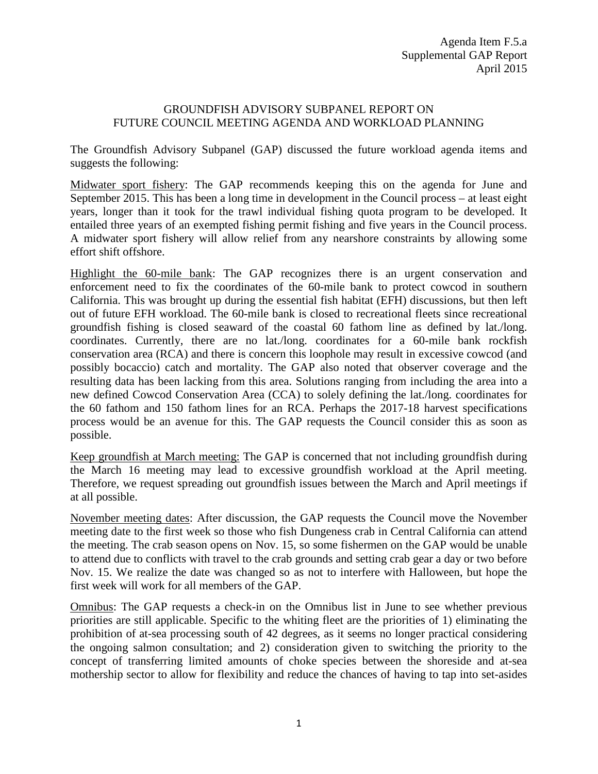## GROUNDFISH ADVISORY SUBPANEL REPORT ON FUTURE COUNCIL MEETING AGENDA AND WORKLOAD PLANNING

The Groundfish Advisory Subpanel (GAP) discussed the future workload agenda items and suggests the following:

Midwater sport fishery: The GAP recommends keeping this on the agenda for June and September 2015. This has been a long time in development in the Council process – at least eight years, longer than it took for the trawl individual fishing quota program to be developed. It entailed three years of an exempted fishing permit fishing and five years in the Council process. A midwater sport fishery will allow relief from any nearshore constraints by allowing some effort shift offshore.

Highlight the 60-mile bank: The GAP recognizes there is an urgent conservation and enforcement need to fix the coordinates of the 60-mile bank to protect cowcod in southern California. This was brought up during the essential fish habitat (EFH) discussions, but then left out of future EFH workload. The 60-mile bank is closed to recreational fleets since recreational groundfish fishing is closed seaward of the coastal 60 fathom line as defined by lat./long. coordinates. Currently, there are no lat./long. coordinates for a 60-mile bank rockfish conservation area (RCA) and there is concern this loophole may result in excessive cowcod (and possibly bocaccio) catch and mortality. The GAP also noted that observer coverage and the resulting data has been lacking from this area. Solutions ranging from including the area into a new defined Cowcod Conservation Area (CCA) to solely defining the lat./long. coordinates for the 60 fathom and 150 fathom lines for an RCA. Perhaps the 2017-18 harvest specifications process would be an avenue for this. The GAP requests the Council consider this as soon as possible.

Keep groundfish at March meeting: The GAP is concerned that not including groundfish during the March 16 meeting may lead to excessive groundfish workload at the April meeting. Therefore, we request spreading out groundfish issues between the March and April meetings if at all possible.

November meeting dates: After discussion, the GAP requests the Council move the November meeting date to the first week so those who fish Dungeness crab in Central California can attend the meeting. The crab season opens on Nov. 15, so some fishermen on the GAP would be unable to attend due to conflicts with travel to the crab grounds and setting crab gear a day or two before Nov. 15. We realize the date was changed so as not to interfere with Halloween, but hope the first week will work for all members of the GAP.

Omnibus: The GAP requests a check-in on the Omnibus list in June to see whether previous priorities are still applicable. Specific to the whiting fleet are the priorities of 1) eliminating the prohibition of at-sea processing south of 42 degrees, as it seems no longer practical considering the ongoing salmon consultation; and 2) consideration given to switching the priority to the concept of transferring limited amounts of choke species between the shoreside and at-sea mothership sector to allow for flexibility and reduce the chances of having to tap into set-asides